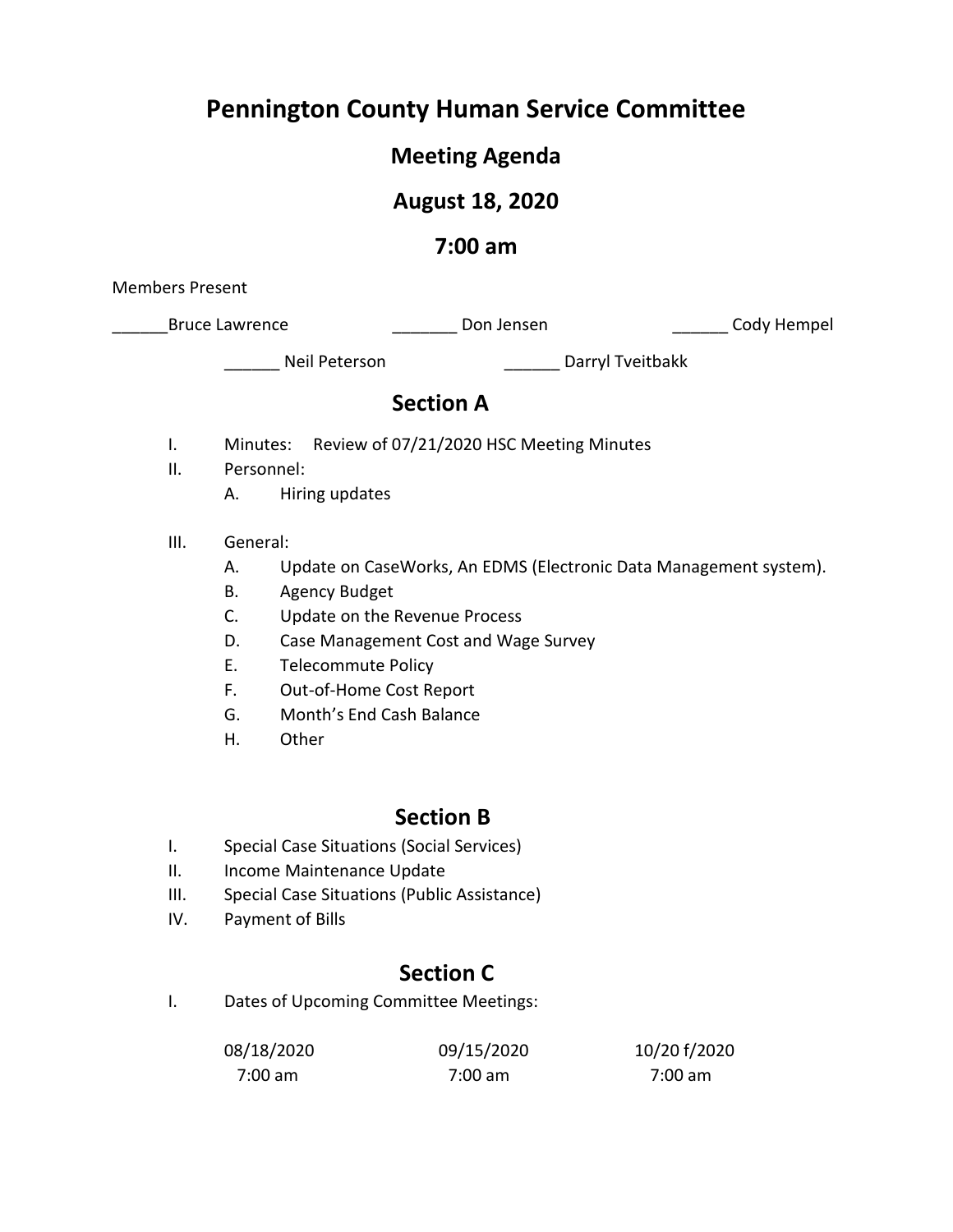# **Pennington County Human Service Committee**

# **Meeting Agenda**

# **August 18, 2020**

## **7:00 am**

Members Present

\_Bruce Lawrence \_\_\_\_\_\_\_\_\_\_\_\_\_\_\_\_\_\_\_\_\_\_\_\_Don Jensen \_\_\_\_\_\_\_\_\_\_\_\_\_\_\_\_\_\_\_\_\_\_\_Cody Hempel

\_\_\_\_\_\_ Neil Peterson \_\_\_\_\_\_ Darryl Tveitbakk

## **Section A**

- I. Minutes: Review of 07/21/2020 HSC Meeting Minutes
- II. Personnel:
	- A. Hiring updates
- III. General:
	- A. Update on CaseWorks, An EDMS (Electronic Data Management system).
	- B. Agency Budget
	- C. Update on the Revenue Process
	- D. Case Management Cost and Wage Survey
	- E. Telecommute Policy
	- F. Out-of-Home Cost Report
	- G. Month's End Cash Balance
	- H. Other

# **Section B**

- I. Special Case Situations (Social Services)
- II. Income Maintenance Update
- III. Special Case Situations (Public Assistance)
- IV. Payment of Bills

# **Section C**

I. Dates of Upcoming Committee Meetings:

| 08/18/2020 | 09/15/2020 | 10/20 f/2020 |
|------------|------------|--------------|
| 7:00 am    | 7:00 am    | 7:00 am      |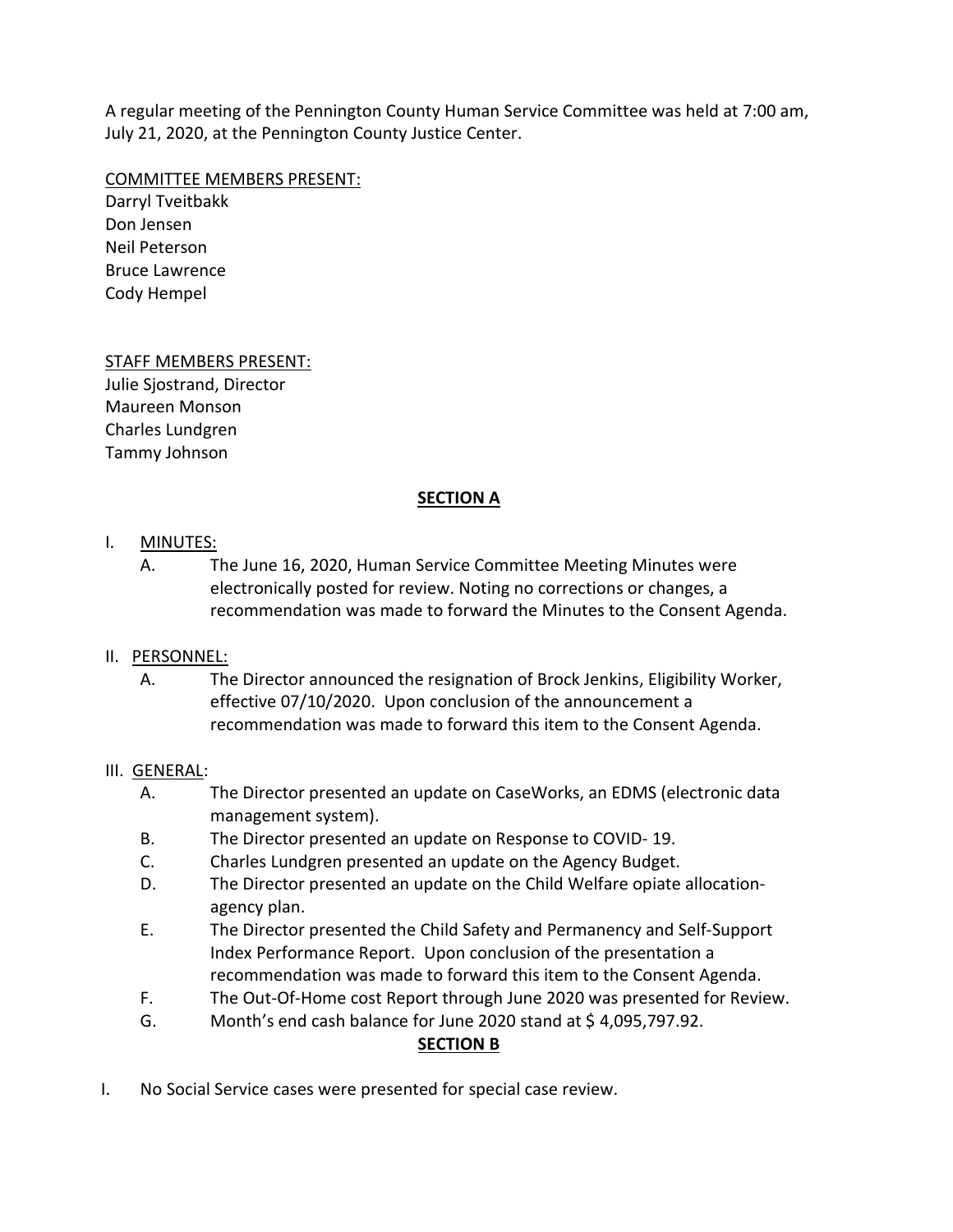A regular meeting of the Pennington County Human Service Committee was held at 7:00 am, July 21, 2020, at the Pennington County Justice Center.

#### COMMITTEE MEMBERS PRESENT:

Darryl Tveitbakk Don Jensen Neil Peterson Bruce Lawrence Cody Hempel

### STAFF MEMBERS PRESENT:

Julie Sjostrand, Director Maureen Monson Charles Lundgren Tammy Johnson

### **SECTION A**

#### I. MINUTES:

A. The June 16, 2020, Human Service Committee Meeting Minutes were electronically posted for review. Noting no corrections or changes, a recommendation was made to forward the Minutes to the Consent Agenda.

### II. PERSONNEL:

A. The Director announced the resignation of Brock Jenkins, Eligibility Worker, effective 07/10/2020. Upon conclusion of the announcement a recommendation was made to forward this item to the Consent Agenda.

#### III. GENERAL:

- A. The Director presented an update on CaseWorks, an EDMS (electronic data management system).
- B. The Director presented an update on Response to COVID- 19.
- C. Charles Lundgren presented an update on the Agency Budget.
- D. The Director presented an update on the Child Welfare opiate allocationagency plan.
- E. The Director presented the Child Safety and Permanency and Self-Support Index Performance Report. Upon conclusion of the presentation a recommendation was made to forward this item to the Consent Agenda.
- F. The Out-Of-Home cost Report through June 2020 was presented for Review.
- G. Month's end cash balance for June 2020 stand at \$ 4,095,797.92.

### **SECTION B**

I. No Social Service cases were presented for special case review.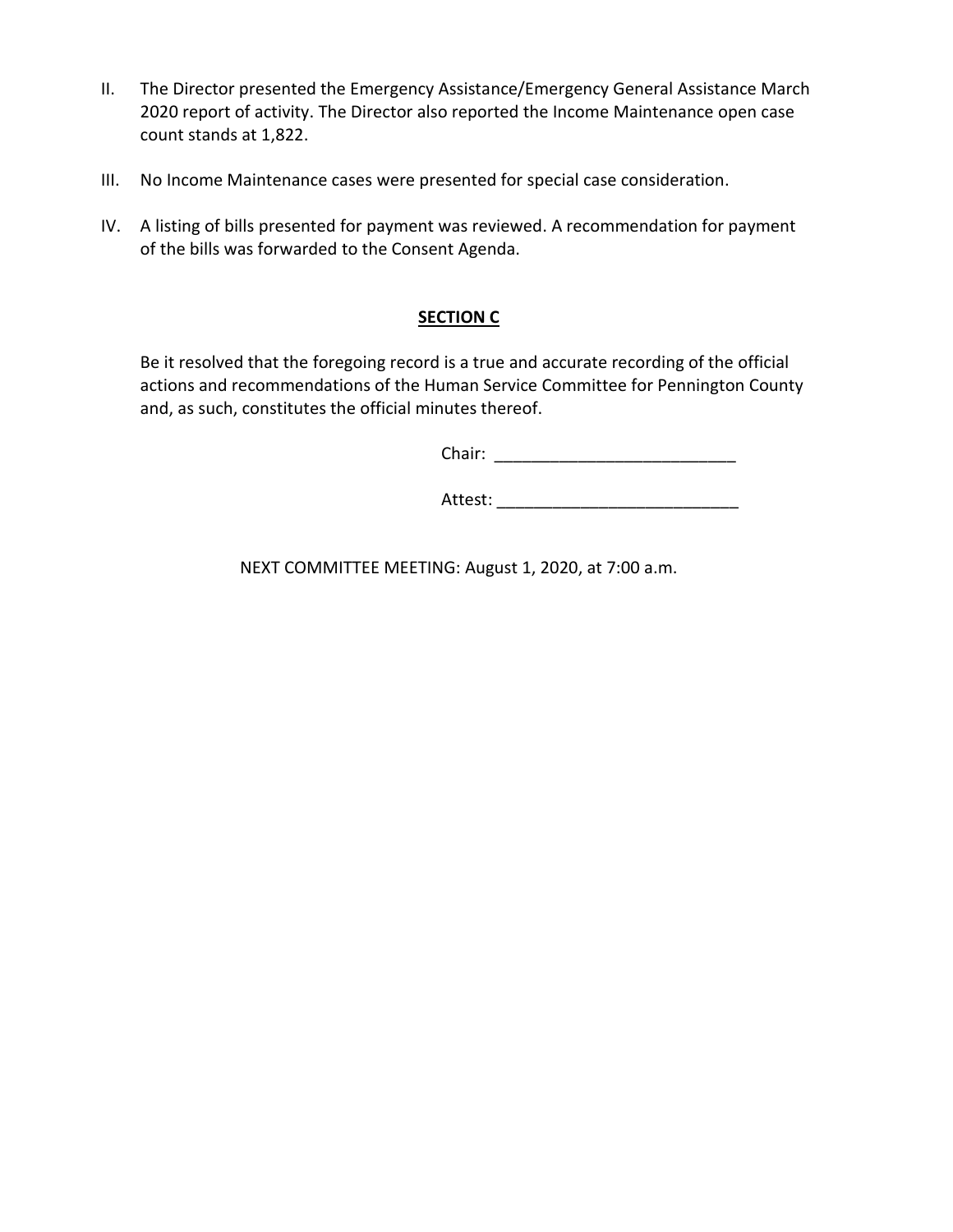- II. The Director presented the Emergency Assistance/Emergency General Assistance March 2020 report of activity. The Director also reported the Income Maintenance open case count stands at 1,822.
- III. No Income Maintenance cases were presented for special case consideration.
- IV. A listing of bills presented for payment was reviewed. A recommendation for payment of the bills was forwarded to the Consent Agenda.

### **SECTION C**

Be it resolved that the foregoing record is a true and accurate recording of the official actions and recommendations of the Human Service Committee for Pennington County and, as such, constitutes the official minutes thereof.

Chair: \_\_\_\_\_\_\_\_\_\_\_\_\_\_\_\_\_\_\_\_\_\_\_\_\_\_

Attest: \_\_\_\_\_\_\_\_\_\_\_\_\_\_\_\_\_\_\_\_\_\_\_\_\_\_

NEXT COMMITTEE MEETING: August 1, 2020, at 7:00 a.m.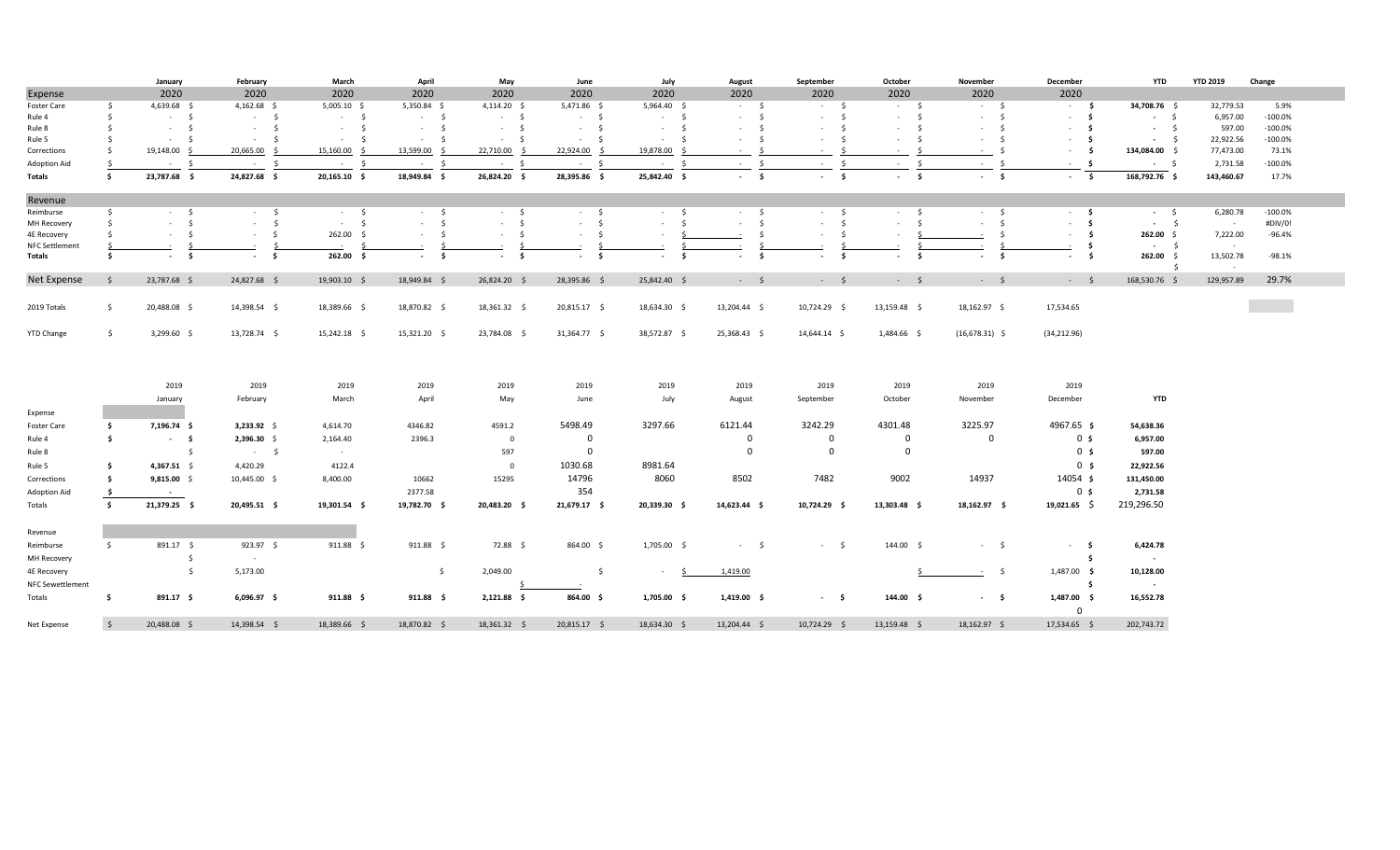|                    |                     | January                         | February      | March                           | April            | May                  | June                | July          | August                | September              | October               | November               | December               | YTD            | <b>YTD 2019</b>     | Change     |  |
|--------------------|---------------------|---------------------------------|---------------|---------------------------------|------------------|----------------------|---------------------|---------------|-----------------------|------------------------|-----------------------|------------------------|------------------------|----------------|---------------------|------------|--|
| Expense            |                     | 2020                            | 2020          | 2020                            | 2020             | 2020                 | 2020                | 2020          | 2020                  | 2020                   | 2020                  | 2020                   | 2020                   |                |                     |            |  |
| Foster Care        | -S                  | 4,639.68 \$                     | $4,162.68$ \$ | $5,005.10$ \$                   | 5,350.84 \$      | $4,114.20$ \$        | 5,471.86 \$         | 5,964.40 \$   | $-5$                  | $-5$                   | $-5$                  | $-5$                   | $-5$                   | 34,708.76 \$   | 32,779.53           | 5.9%       |  |
| Rule 4             | Ŝ.                  | $-5$                            | $-5$          | $-5$                            | $-5$             | $-5$                 | $-5$                | $-5$          | $-5$                  | - \$<br>$\sim$         | $-5$                  | $-5$                   | - \$<br>$\sim$         | $-5$           | 6,957.00            | $-100.0%$  |  |
| Rule 8             | -Ś                  | $\mathsf{S}$<br>$\sim 10^{-11}$ | $-5$          | $\mathsf{S}$<br>$\sim 10^{-11}$ | $-5$             | $-5$                 | $-5$                | $-5$          | $-5$                  | - Ś<br>$\sim$          | $-5$                  | $-5$                   | - \$<br>$\sim$         | $-5$           | 597.00              | $-100.0%$  |  |
| Rule 5             |                     | $\zeta$<br><b>Contract</b>      | - s           | <b>Service</b><br>- S           | - \$             | $-5$                 | $-5$                | $\sim$<br>- S | - \$                  | -Ś<br>$\sim$           | $-5$                  | - \$<br>$\sim$         | - \$<br>$\sim$         | $-5$           | 22,922.56           | $-100.0%$  |  |
| Corrections        | Ŝ.                  | 19,148.00 \$                    | 20,665.00 \$  | 15,160.00                       | 13,599.00 \$     | 22,710.00 \$         | 22,924.00 \$        | 19,878.00 \$  | ∫ <<br><b>College</b> | -Ś<br>$\sim$           | - S<br><b>Section</b> | - \$<br>$\sim$         | - \$<br>$\sim$         | 134,084.00 \$  | 77,473.00           | 73.1%      |  |
| Adoption Aid       | -S                  | S.<br><b>Contract</b>           | $-5$          | - \$                            | - \$             | $-5$                 | $-5$                | $-5$          | $\sim$ $\sim$         | \$<br>$\sim$ 100 $\mu$ | $-5$                  | $\sim$ $-$<br>$\prec$  | - \$<br>$\sim$         | $-5$           | 2,731.58            | $-100.0\%$ |  |
| Totals             | \$                  | 23,787.68 \$                    | 24,827.68 \$  | 20,165.10 \$                    | 18,949.84 \$     | 26,824.20 \$         | 28,395.86 \$        | 25,842.40 \$  | $-5$                  | $-5$                   | $-5$                  | $-5$                   | $-5$                   | 168,792.76 \$  | 143,460.67          | 17.7%      |  |
| Revenue            |                     |                                 |               |                                 |                  |                      |                     |               |                       |                        |                       |                        |                        |                |                     |            |  |
| Reimburse          | s.                  | $-5$                            | $-5$          | $-5$                            | $-5$             | $-5$                 | $-5$                | $-5$          | $-5$                  | $-5$                   | $-5$                  | $-5$                   | $-5$                   | $-5$           | 6,280.78            | $-100.0%$  |  |
| <b>MH Recovery</b> | Ŝ.                  | $\mathsf{S}$<br>$\sim 100$      | $-5$          | - Ś<br>$\sim$                   | $-5$             | $-5$                 | $-5$                | $-5$          | $-5$                  | \$<br>$\sim$           | $-5$                  | $-5$                   | $\mathsf{s}$<br>$\sim$ | $-5$           | $\sim$ 10 $\pm$     | #DIV/0!    |  |
| 4E Recovery        |                     | $\sim$<br>$\sim$                | $-5$          | 262.00 \$                       | $-5$             | S.<br><b>Service</b> | $\sim$<br>$\sim$    | $\sim$        | - \$                  | - \$<br>$\sim$         | $\sim$                | - \$                   | - \$<br>$\sim$         | 262.00%        | 7,222.00            | -96.4%     |  |
| NFC Settlement     |                     |                                 |               |                                 |                  |                      |                     |               |                       | \$                     |                       |                        | \$                     | $-5$           | $\sim$              |            |  |
| Totals             | Ŝ.                  | $-5$                            | $-5$          | 262.00 \$                       | $-5$             | s.<br>$\sim$         | - \$<br>$\sim$      | s.<br>$\sim$  | s.<br>$\sim$          | - \$<br>$\sim$         | $-5$                  | - \$<br>$\blacksquare$ | 5<br>$\sim$            | 262.00%<br>- Ś | 13,502.78<br>$\sim$ | $-98.1%$   |  |
| Net Expense        | s                   | 23,787.68 \$                    | 24,827.68 \$  | 19,903.10 \$                    | 18,949.84 \$     | 26,824.20 \$         | 28,395.86 \$        | 25,842.40 \$  | $-5$                  | $-5$                   | $-5$                  | $-5$                   | $-5$                   | 168,530.76 \$  | 129,957.89          | 29.7%      |  |
|                    |                     |                                 |               |                                 |                  |                      |                     |               |                       |                        |                       |                        |                        |                |                     |            |  |
| 2019 Totals        | $\ddot{\mathsf{S}}$ | 20,488.08 \$                    | 14,398.54 \$  | 18,389.66 \$                    | 18,870.82 \$     | 18,361.32 \$         | 20,815.17 \$        | 18,634.30 \$  | 13,204.44 \$          | 10,724.29 \$           | 13,159.48 \$          | 18,162.97 \$           | 17,534.65              |                |                     |            |  |
| <b>YTD Change</b>  | $\mathsf{S}$        | $3,299.60$ \$                   | 13,728.74 \$  | 15,242.18 \$                    | 15,321.20 \$     | 23,784.08 \$         | 31,364.77 \$        | 38,572.87 \$  | 25,368.43 \$          | 14,644.14 \$           | 1,484.66 \$           | $(16,678.31)$ \$       | (34, 212.96)           |                |                     |            |  |
|                    |                     |                                 |               |                                 |                  |                      |                     |               |                       |                        |                       |                        |                        |                |                     |            |  |
|                    |                     | 2019                            | 2019          | 2019                            | 2019             | 2019                 | 2019                | 2019          | 2019                  | 2019                   | 2019                  | 2019                   | 2019                   |                |                     |            |  |
|                    |                     | January                         | February      | March                           | April            | May                  | June                | July          | August                | September              | October               | November               | December               | <b>YTD</b>     |                     |            |  |
| Expense            |                     |                                 |               |                                 |                  |                      |                     |               |                       |                        |                       |                        |                        |                |                     |            |  |
| Foster Care        | \$                  | 7,196.74 \$                     | $3,233.92$ \$ | 4,614.70                        | 4346.82          | 4591.2               | 5498.49             | 3297.66       | 6121.44               | 3242.29                | 4301.48               | 3225.97                | 4967.65 \$             | 54,638.36      |                     |            |  |
| Rule 4             | \$                  | $-5$                            | 2,396.30 \$   | 2,164.40                        | 2396.3           | $\mathbf{0}$         | $\mathbf 0$         |               | $\mathbf 0$           | $\mathbf 0$            | $\mathbf{0}$          | $\mathbf 0$            | 0 <sup>5</sup>         | 6,957.00       |                     |            |  |
| Rule 8             |                     | $\ddot{\mathsf{s}}$             | $-5$          | $\sim$ $-$                      |                  | 597                  | $\mathbf 0$         |               | $\Omega$              | 0                      | $\mathbf 0$           |                        | 0 <sup>5</sup>         | 597.00         |                     |            |  |
| Rule 5             | s.                  | 4,367.51 \$                     | 4,420.29      | 4122.4                          |                  | $\mathbf 0$          | 1030.68             | 8981.64       |                       |                        |                       |                        | 0 <sub>s</sub>         | 22,922.56      |                     |            |  |
|                    | Ŝ.                  |                                 |               | 8,400.00                        | 10662            | 15295                | 14796               | 8060          | 8502                  | 7482                   | 9002                  | 14937                  | 14054 \$               | 131,450.00     |                     |            |  |
| Corrections        |                     | $9,815.00$ \$                   | 10,445.00 \$  |                                 |                  |                      |                     |               |                       |                        |                       |                        |                        |                |                     |            |  |
| Adoption Aid       | \$                  | $\sim$                          |               |                                 | 2377.58          |                      | 354                 |               |                       |                        |                       |                        | 0 <sup>5</sup>         | 2,731.58       |                     |            |  |
| Totals             | $\ddot{\bm{s}}$     | 21,379.25 \$                    | 20,495.51 \$  | 19,301.54 \$                    | 19,782.70 \$     | 20,483.20 \$         | 21,679.17 \$        | 20,339.30 \$  | 14,623.44 \$          | 10,724.29 \$           | 13,303.48 \$          | 18,162.97 \$           | $19,021.65$ \$         | 219,296.50     |                     |            |  |
| Revenue            |                     |                                 |               |                                 |                  |                      |                     |               |                       |                        |                       |                        |                        |                |                     |            |  |
| Reimburse          | $\mathsf{S}$        | 891.17 \$                       | 923.97 \$     | $911.88 \quad $$                | $911.88 \quad $$ | 72.88 \$             | 864.00 \$           | 1,705.00 \$   | $-5$                  | $-5$                   | 144.00 \$             | $-5$                   | $-5$                   | 6,424.78       |                     |            |  |
| <b>MH Recovery</b> |                     | - \$                            |               |                                 |                  |                      |                     |               |                       |                        |                       |                        | - Ś                    |                |                     |            |  |
| 4E Recovery        |                     | \$                              | 5,173.00      |                                 | \$               | 2,049.00             | $\ddot{\mathsf{s}}$ | $\sim$        | 1,419.00              |                        |                       | $-5$                   | 1,487.00 \$            | 10,128.00      |                     |            |  |
| NFC Sewettlement   |                     |                                 |               |                                 |                  |                      |                     |               |                       |                        |                       |                        | s.                     | $\sim$         |                     |            |  |
| Totals             | \$                  | 891.17 \$                       | 6,096.97 \$   | $911.88 \quad $$                | $911.88$ \$      | 2,121.88 \$          | 864.00 \$           | 1,705.00 \$   | $1,419.00$ \$         | $-5$                   | 144.00 \$             | $-5$                   | 1,487.00 \$            | 16,552.78      |                     |            |  |
|                    |                     |                                 |               |                                 |                  |                      |                     |               |                       |                        |                       |                        | $\Omega$               |                |                     |            |  |
| Net Expense        | $\mathsf{S}$        | 20.488.08 \$                    | 14.398.54 \$  | 18.389.66 \$                    | 18,870.82 \$     | 18,361.32 \$         | 20.815.17 \$        | 18,634.30 \$  | 13.204.44 \$          | 10,724.29 \$           | 13.159.48 \$          | 18,162.97 \$           | 17,534.65 \$           | 202.743.72     |                     |            |  |